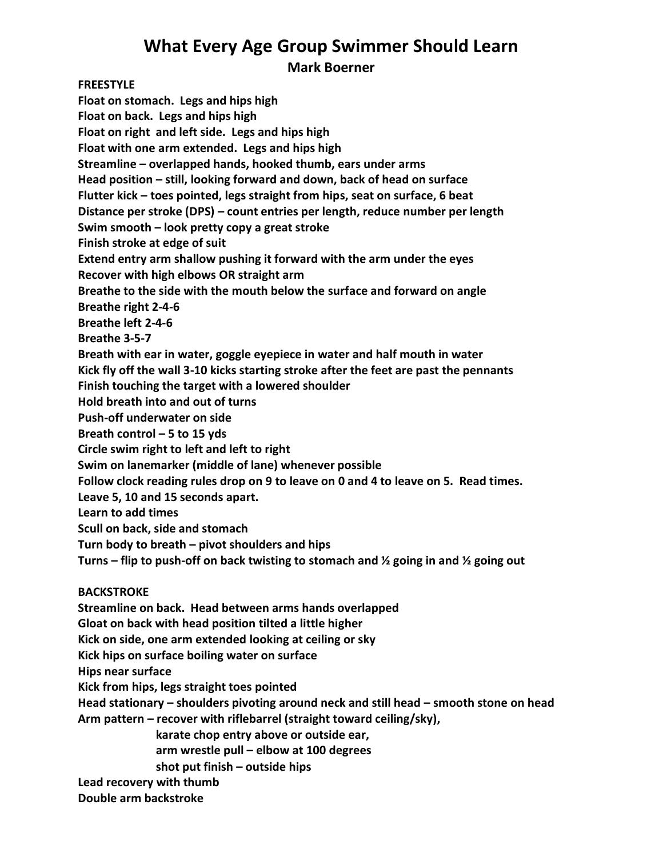# **What Every Age Group Swimmer Should Learn**

**Mark Boerner**

**FREESTYLE Float on stomach. Legs and hips high Float on back. Legs and hips high Float on right and left side. Legs and hips high Float with one arm extended. Legs and hips high Streamline – overlapped hands, hooked thumb, ears under arms Head position – still, looking forward and down, back of head on surface Flutter kick – toes pointed, legs straight from hips, seat on surface, 6 beat Distance per stroke (DPS) – count entries per length, reduce number per length Swim smooth – look pretty copy a great stroke Finish stroke at edge of suit Extend entry arm shallow pushing it forward with the arm under the eyes Recover with high elbows OR straight arm Breathe to the side with the mouth below the surface and forward on angle Breathe right 2-4-6 Breathe left 2-4-6 Breathe 3-5-7 Breath with ear in water, goggle eyepiece in water and half mouth in water Kick fly off the wall 3-10 kicks starting stroke after the feet are past the pennants Finish touching the target with a lowered shoulder Hold breath into and out of turns Push-off underwater on side Breath control – 5 to 15 yds Circle swim right to left and left to right Swim on lanemarker (middle of lane) whenever possible Follow clock reading rules drop on 9 to leave on 0 and 4 to leave on 5. Read times. Leave 5, 10 and 15 seconds apart. Learn to add times Scull on back, side and stomach Turn body to breath – pivot shoulders and hips Turns – flip to push-off on back twisting to stomach and ½ going in and ½ going out BACKSTROKE Streamline on back. Head between arms hands overlapped Gloat on back with head position tilted a little higher Kick on side, one arm extended looking at ceiling or sky Kick hips on surface boiling water on surface Hips near surface Kick from hips, legs straight toes pointed Head stationary – shoulders pivoting around neck and still head – smooth stone on head Arm pattern – recover with riflebarrel (straight toward ceiling/sky), karate chop entry above or outside ear, arm wrestle pull – elbow at 100 degrees**

**shot put finish – outside hips** 

**Lead recovery with thumb**

**Double arm backstroke**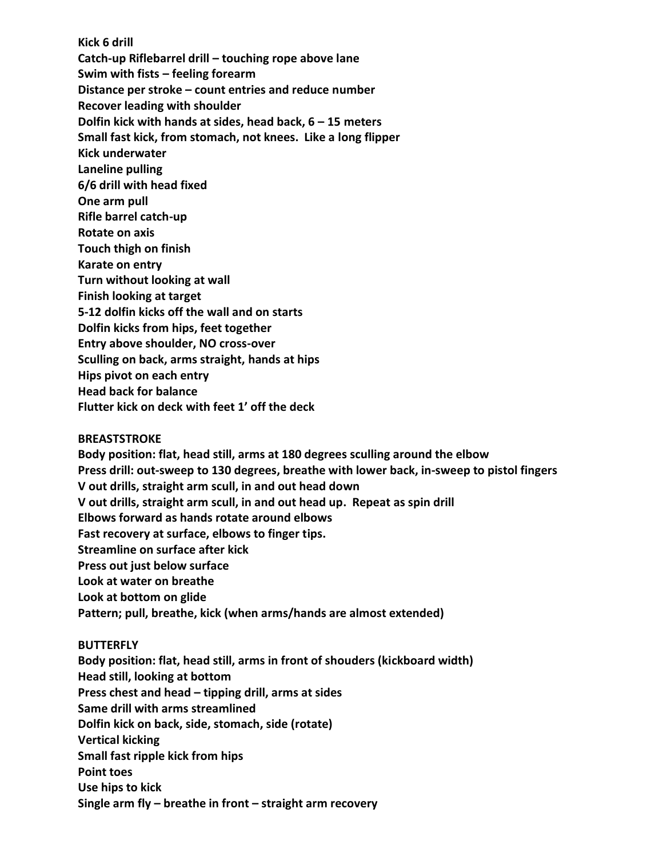**Kick 6 drill Catch-up Riflebarrel drill – touching rope above lane Swim with fists – feeling forearm Distance per stroke – count entries and reduce number Recover leading with shoulder Dolfin kick with hands at sides, head back, 6 – 15 meters Small fast kick, from stomach, not knees. Like a long flipper Kick underwater Laneline pulling 6/6 drill with head fixed One arm pull Rifle barrel catch-up Rotate on axis Touch thigh on finish Karate on entry Turn without looking at wall Finish looking at target 5-12 dolfin kicks off the wall and on starts Dolfin kicks from hips, feet together Entry above shoulder, NO cross-over Sculling on back, arms straight, hands at hips Hips pivot on each entry Head back for balance Flutter kick on deck with feet 1' off the deck**

#### **BREASTSTROKE**

**Body position: flat, head still, arms at 180 degrees sculling around the elbow Press drill: out-sweep to 130 degrees, breathe with lower back, in-sweep to pistol fingers V out drills, straight arm scull, in and out head down V out drills, straight arm scull, in and out head up. Repeat as spin drill Elbows forward as hands rotate around elbows Fast recovery at surface, elbows to finger tips. Streamline on surface after kick Press out just below surface Look at water on breathe Look at bottom on glide**

## **Pattern; pull, breathe, kick (when arms/hands are almost extended)**

#### **BUTTERFLY**

**Body position: flat, head still, arms in front of shouders (kickboard width) Head still, looking at bottom Press chest and head – tipping drill, arms at sides Same drill with arms streamlined Dolfin kick on back, side, stomach, side (rotate) Vertical kicking Small fast ripple kick from hips Point toes Use hips to kick Single arm fly – breathe in front – straight arm recovery**